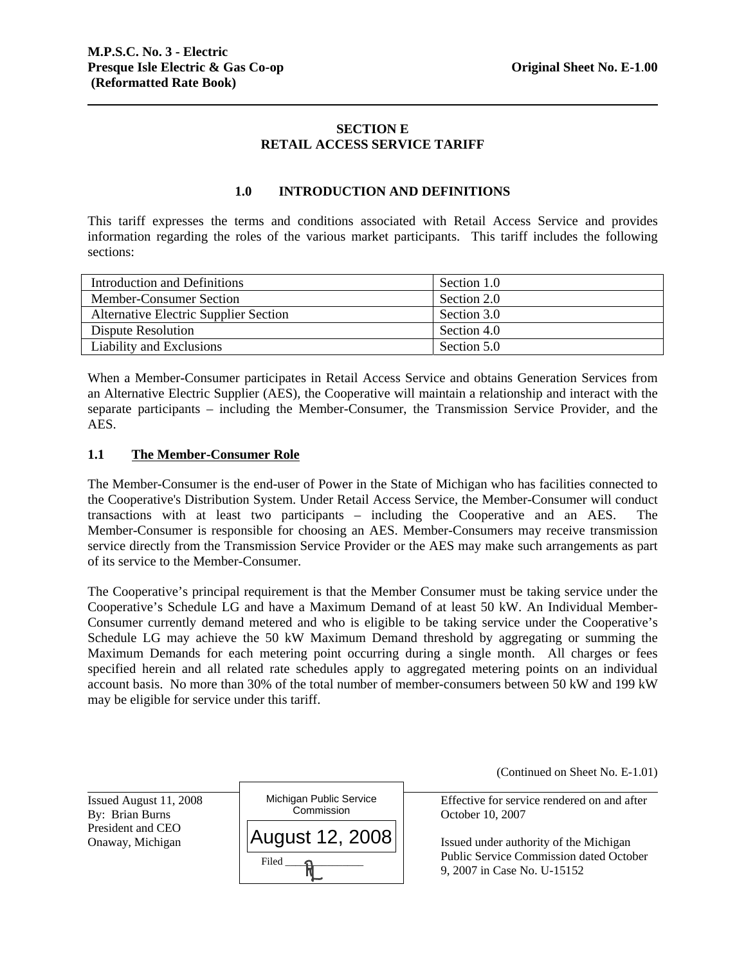# **SECTION E RETAIL ACCESS SERVICE TARIFF**

## **1.0 INTRODUCTION AND DEFINITIONS**

This tariff expresses the terms and conditions associated with Retail Access Service and provides information regarding the roles of the various market participants. This tariff includes the following sections:

| Introduction and Definitions                 | Section 1.0 |
|----------------------------------------------|-------------|
| Member-Consumer Section                      | Section 2.0 |
| <b>Alternative Electric Supplier Section</b> | Section 3.0 |
| Dispute Resolution                           | Section 4.0 |
| Liability and Exclusions                     | Section 5.0 |

When a Member-Consumer participates in Retail Access Service and obtains Generation Services from an Alternative Electric Supplier (AES), the Cooperative will maintain a relationship and interact with the separate participants – including the Member-Consumer, the Transmission Service Provider, and the AES.

### **1.1 The Member-Consumer Role**

The Member-Consumer is the end-user of Power in the State of Michigan who has facilities connected to the Cooperative's Distribution System. Under Retail Access Service, the Member-Consumer will conduct transactions with at least two participants – including the Cooperative and an AES. The Member-Consumer is responsible for choosing an AES. Member-Consumers may receive transmission service directly from the Transmission Service Provider or the AES may make such arrangements as part of its service to the Member-Consumer.

The Cooperative's principal requirement is that the Member Consumer must be taking service under the Cooperative's Schedule LG and have a Maximum Demand of at least 50 kW. An Individual Member-Consumer currently demand metered and who is eligible to be taking service under the Cooperative's Schedule LG may achieve the 50 kW Maximum Demand threshold by aggregating or summing the Maximum Demands for each metering point occurring during a single month. All charges or fees specified herein and all related rate schedules apply to aggregated metering points on an individual account basis. No more than 30% of the total number of member-consumers between 50 kW and 199 kW may be eligible for service under this tariff.

(Continued on Sheet No. E-1.01)

Effective for service rendered on and after

Onaway, Michigan  $\vert$  **AUGUSU 12, 2008** Supermum and Issued under authority of the Michigan Public Service Commission dated October 9, 2007 in Case No. U-15152

Issued August 11, 2008 President and CEO

l

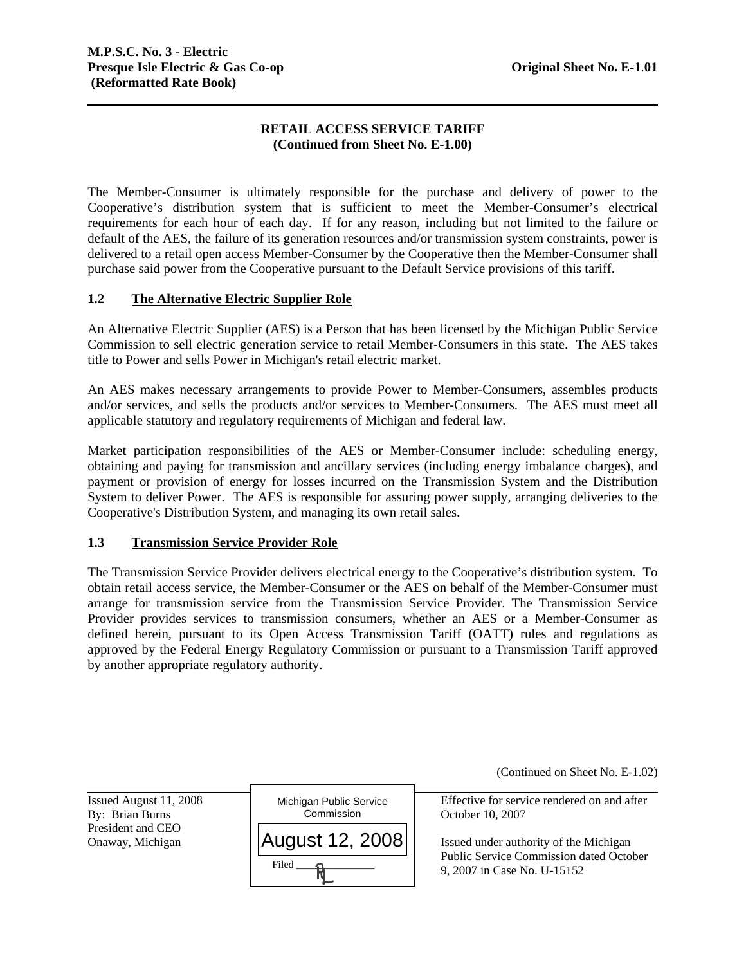# **RETAIL ACCESS SERVICE TARIFF (Continued from Sheet No. E-1.00)**

The Member-Consumer is ultimately responsible for the purchase and delivery of power to the Cooperative's distribution system that is sufficient to meet the Member-Consumer's electrical requirements for each hour of each day. If for any reason, including but not limited to the failure or default of the AES, the failure of its generation resources and/or transmission system constraints, power is delivered to a retail open access Member-Consumer by the Cooperative then the Member-Consumer shall purchase said power from the Cooperative pursuant to the Default Service provisions of this tariff.

# **1.2 The Alternative Electric Supplier Role**

title to Power and sells Power in Michigan's retail electric market. An Alternative Electric Supplier (AES) is a Person that has been licensed by the Michigan Public Service Commission to sell electric generation service to retail Member-Consumers in this state. The AES takes

An AES makes necessary arrangements to provide Power to Member-Consumers, assembles products and/or services, and sells the products and/or services to Member-Consumers. The AES must meet all applicable statutory and regulatory requirements of Michigan and federal law.

Market participation responsibilities of the AES or Member-Consumer include: scheduling energy, obtaining and paying for transmission and ancillary services (including energy imbalance charges), and payment or provision of energy for losses incurred on the Transmission System and the Distribution System to deliver Power. The AES is responsible for assuring power supply, arranging deliveries to the Cooperative's Distribution System, and managing its own retail sales.

### **1.3 Transmission Service Provider Role**

 The Transmission Service Provider delivers electrical energy to the Cooperative's distribution system. To obtain retail access service, the Member-Consumer or the AES on behalf of the Member-Consumer must arrange for transmission service from the Transmission Service Provider. The Transmission Service Provider provides services to transmission consumers, whether an AES or a Member-Consumer as defined herein, pursuant to its Open Access Transmission Tariff (OATT) rules and regulations as approved by the Federal Energy Regulatory Commission or pursuant to a Transmission Tariff approved by another appropriate regulatory authority.

(Continued on Sheet No. E-1.02)

Issued August 11, 2008 President and CEO

l



Effective for service rendered on and after

Onaway, Michigan  $||$ AUQUSt 12, 2008  $||$  Issued under authority of the Michigan Public Service Commission dated October 9, 2007 in Case No. U-15152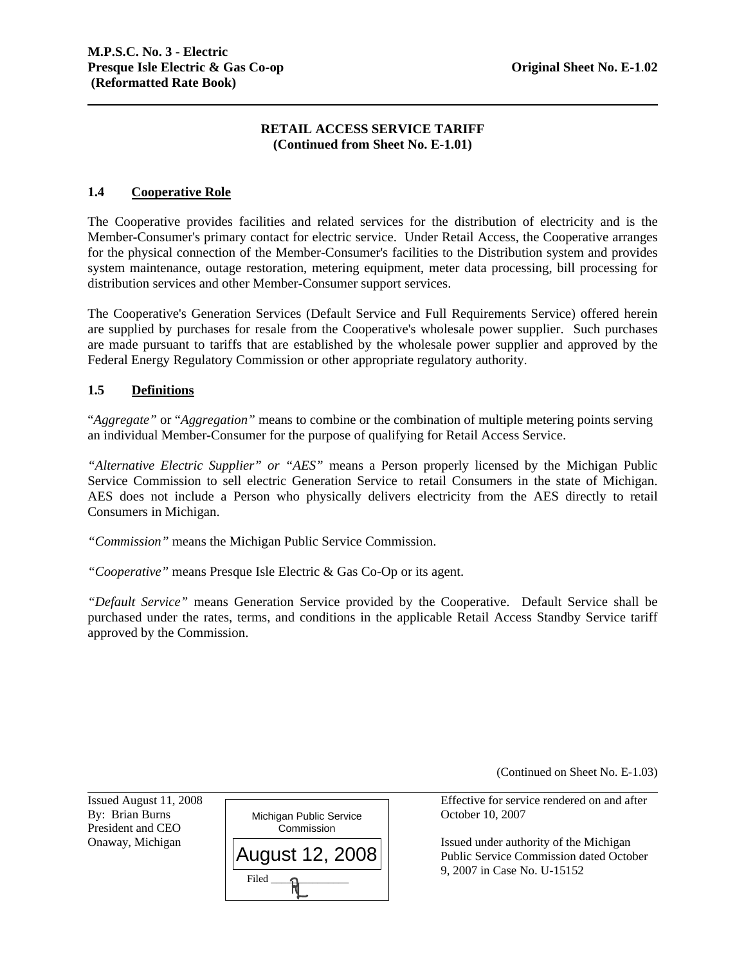## **RETAIL ACCESS SERVICE TARIFF (Continued from Sheet No. E-1.01)**

### **1.4 Cooperative Role**

The Cooperative provides facilities and related services for the distribution of electricity and is the Member-Consumer's primary contact for electric service. Under Retail Access, the Cooperative arranges for the physical connection of the Member-Consumer's facilities to the Distribution system and provides system maintenance, outage restoration, metering equipment, meter data processing, bill processing for distribution services and other Member-Consumer support services.

The Cooperative's Generation Services (Default Service and Full Requirements Service) offered herein are supplied by purchases for resale from the Cooperative's wholesale power supplier. Such purchases are made pursuant to tariffs that are established by the wholesale power supplier and approved by the Federal Energy Regulatory Commission or other appropriate regulatory authority.

### **1.5 Definitions**

"*Aggregate"* or "*Aggregation"* means to combine or the combination of multiple metering points serving an individual Member-Consumer for the purpose of qualifying for Retail Access Service.

Service Commission to sell electric Generation Service to retail Consumers in the state of Michigan. *"Alternative Electric Supplier" or "AES"* means a Person properly licensed by the Michigan Public AES does not include a Person who physically delivers electricity from the AES directly to retail Consumers in Michigan.

*"Commission"* means the Michigan Public Service Commission.

*"Cooperative"* means Presque Isle Electric & Gas Co-Op or its agent.

*"Default Service"* means Generation Service provided by the Cooperative. Default Service shall be purchased under the rates, terms, and conditions in the applicable Retail Access Standby Service tariff approved by the Commission.

(Continued on Sheet No. E-1.03)

Issued August 11, 2008 President and CEO

l



Effective for service rendered on and after

Onaway, Michigan  $\Box$ Public Service Commission dated October 9, 2007 in Case No. U-15152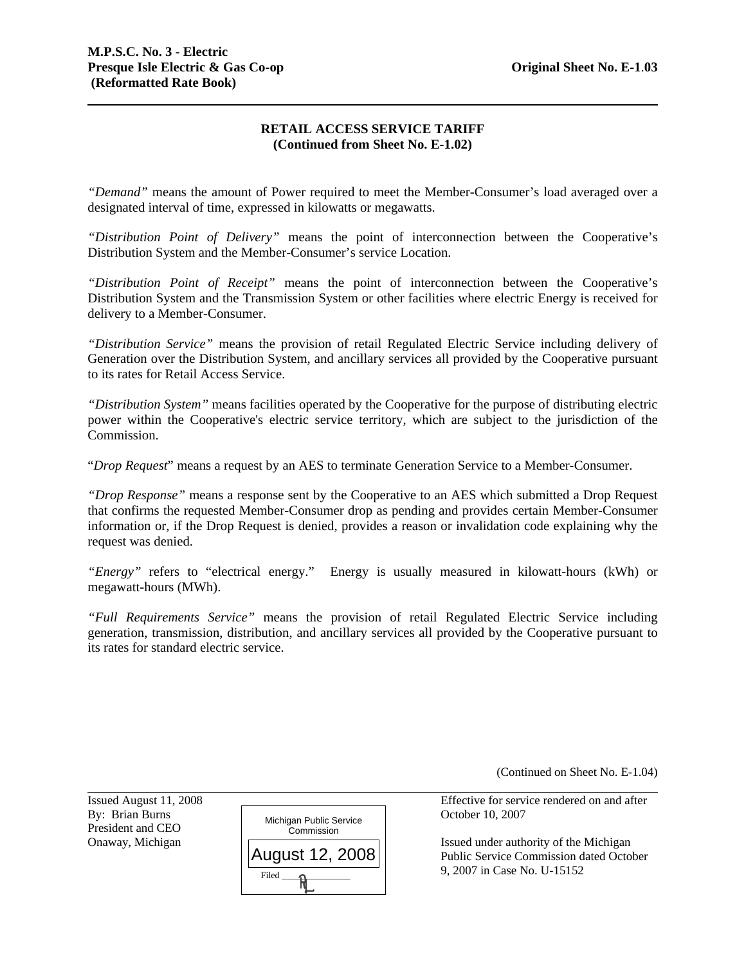## **RETAIL ACCESS SERVICE TARIFF (Continued from Sheet No. E-1.02)**

*"Demand"* means the amount of Power required to meet the Member-Consumer's load averaged over a designated interval of time, expressed in kilowatts or megawatts.

*"Distribution Point of Delivery"* means the point of interconnection between the Cooperative's Distribution System and the Member-Consumer's service Location.

*"Distribution Point of Receipt"* means the point of interconnection between the Cooperative's Distribution System and the Transmission System or other facilities where electric Energy is received for delivery to a Member-Consumer.

*"Distribution Service"* means the provision of retail Regulated Electric Service including delivery of Generation over the Distribution System, and ancillary services all provided by the Cooperative pursuant to its rates for Retail Access Service.

Commission. *"Distribution System"* means facilities operated by the Cooperative for the purpose of distributing electric power within the Cooperative's electric service territory, which are subject to the jurisdiction of the

"*Drop Request*" means a request by an AES to terminate Generation Service to a Member-Consumer.

*"Drop Response"* means a response sent by the Cooperative to an AES which submitted a Drop Request that confirms the requested Member-Consumer drop as pending and provides certain Member-Consumer information or, if the Drop Request is denied, provides a reason or invalidation code explaining why the request was denied.

*"Energy"* refers to "electrical energy." Energy is usually measured in kilowatt-hours (kWh) or megawatt-hours (MWh).

*"Full Requirements Service"* means the provision of retail Regulated Electric Service including generation, transmission, distribution, and ancillary services all provided by the Cooperative pursuant to its rates for standard electric service.

(Continued on Sheet No. E-1.04)

Issued August 11, 2008 President and CEO

l



Effective for service rendered on and after

Onaway, Michigan  $\Box$ Public Service Commission dated October 9, 2007 in Case No. U-15152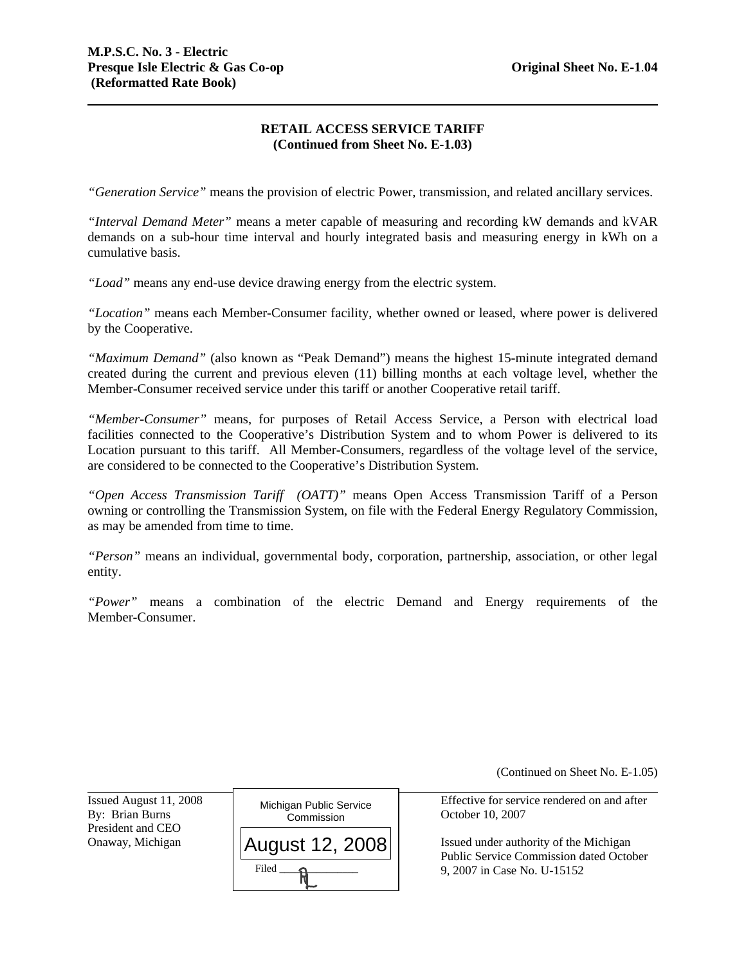# **RETAIL ACCESS SERVICE TARIFF (Continued from Sheet No. E-1.03)**

*"Generation Service"* means the provision of electric Power, transmission, and related ancillary services.

 demands on a sub-hour time interval and hourly integrated basis and measuring energy in kWh on a *"Interval Demand Meter"* means a meter capable of measuring and recording kW demands and kVAR cumulative basis.

*"Load"* means any end-use device drawing energy from the electric system.

*"Location"* means each Member-Consumer facility, whether owned or leased, where power is delivered by the Cooperative.

*"Maximum Demand"* (also known as "Peak Demand") means the highest 15-minute integrated demand created during the current and previous eleven (11) billing months at each voltage level, whether the Member-Consumer received service under this tariff or another Cooperative retail tariff.

are considered to be connected to the Cooperative's Distribution System. *"Member-Consumer"* means, for purposes of Retail Access Service, a Person with electrical load facilities connected to the Cooperative's Distribution System and to whom Power is delivered to its Location pursuant to this tariff. All Member-Consumers, regardless of the voltage level of the service,

*"Open Access Transmission Tariff (OATT)"* means Open Access Transmission Tariff of a Person owning or controlling the Transmission System, on file with the Federal Energy Regulatory Commission, as may be amended from time to time.

*"Person"* means an individual, governmental body, corporation, partnership, association, or other legal entity.

*"Power"* means a combination of the electric Demand and Energy requirements of the Member-Consumer.

(Continued on Sheet No. E-1.05)

Issued August 11, 2008 President and CEO

l



Effective for service rendered on and after

Onaway, Michigan  $\vert$   $\vert$   $\Lambda$   $\vert$   $\vert$   $\alpha$   $\vert$   $\vert$   $\alpha$   $\vert$   $\alpha$   $\vert$   $\alpha$   $\vert$   $\vert$   $\alpha$   $\vert$   $\vert$   $\alpha$   $\vert$   $\vert$   $\alpha$   $\vert$   $\alpha$   $\vert$   $\vert$   $\alpha$   $\vert$   $\vert$   $\alpha$   $\vert$   $\alpha$   $\vert$   $\alpha$   $\vert$   $\alpha$   $\vert$   $\alpha$   $\vert$   $\alpha$   $\vert$ Public Service Commission dated October 9, 2007 in Case No. U-15152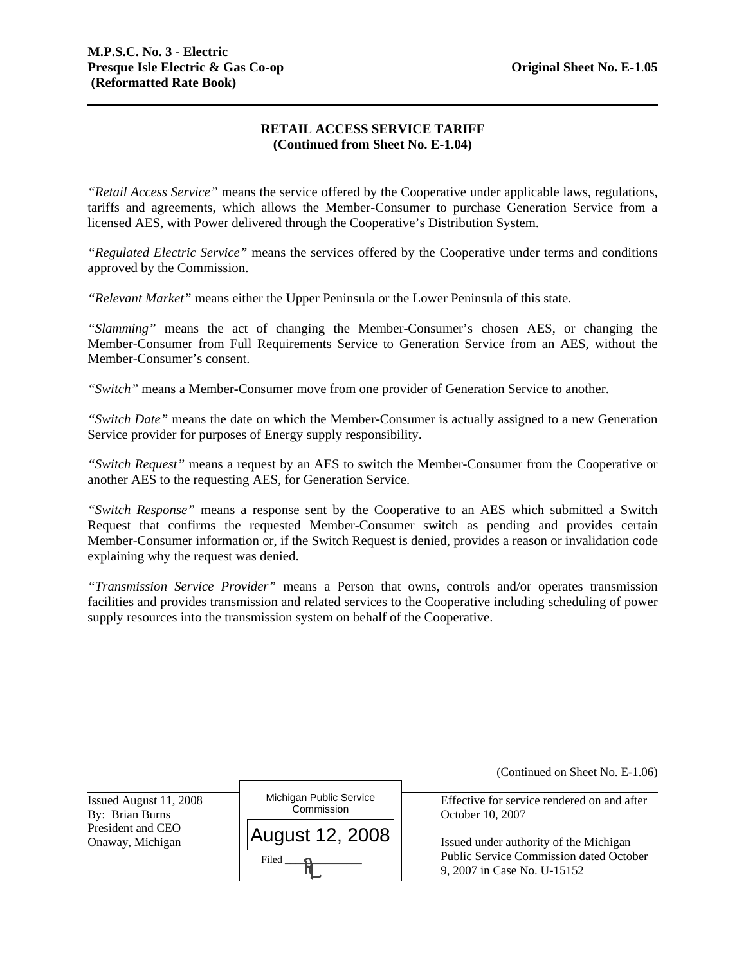# **RETAIL ACCESS SERVICE TARIFF (Continued from Sheet No. E-1.04)**

 tariffs and agreements, which allows the Member-Consumer to purchase Generation Service from a *"Retail Access Service"* means the service offered by the Cooperative under applicable laws, regulations, licensed AES, with Power delivered through the Cooperative's Distribution System.

*"Regulated Electric Service"* means the services offered by the Cooperative under terms and conditions approved by the Commission.

*"Relevant Market"* means either the Upper Peninsula or the Lower Peninsula of this state.

*"Slamming"* means the act of changing the Member-Consumer's chosen AES, or changing the Member-Consumer from Full Requirements Service to Generation Service from an AES, without the Member-Consumer's consent.

*"Switch"* means a Member-Consumer move from one provider of Generation Service to another.

*"Switch Date"* means the date on which the Member-Consumer is actually assigned to a new Generation Service provider for purposes of Energy supply responsibility.

*"Switch Request"* means a request by an AES to switch the Member-Consumer from the Cooperative or another AES to the requesting AES, for Generation Service.

*"Switch Response"* means a response sent by the Cooperative to an AES which submitted a Switch Request that confirms the requested Member-Consumer switch as pending and provides certain Member-Consumer information or, if the Switch Request is denied, provides a reason or invalidation code explaining why the request was denied.

*"Transmission Service Provider"* means a Person that owns, controls and/or operates transmission facilities and provides transmission and related services to the Cooperative including scheduling of power supply resources into the transmission system on behalf of the Cooperative.

|                                           |                                       | (Continued on Sheet No. E-1.06)                                               |
|-------------------------------------------|---------------------------------------|-------------------------------------------------------------------------------|
| Issued August 11, 2008<br>By: Brian Burns | Michigan Public Service<br>Commission | Effective for service rendered on and after<br>October 10, 2007               |
| President and CEO<br>Onaway, Michigan     | August 12, 2008                       | Issued under authority of the Michigan                                        |
|                                           | Filed                                 | <b>Public Service Commission dated October</b><br>9, 2007 in Case No. U-15152 |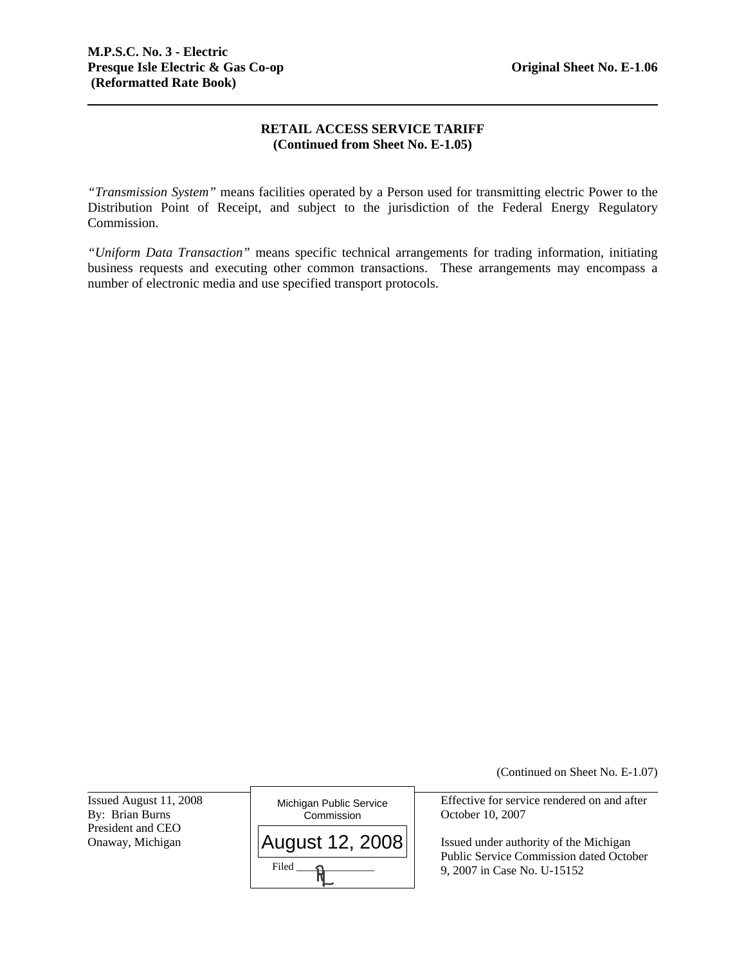# **RETAIL ACCESS SERVICE TARIFF (Continued from Sheet No. E-1.05)**

*"Transmission System"* means facilities operated by a Person used for transmitting electric Power to the Distribution Point of Receipt, and subject to the jurisdiction of the Federal Energy Regulatory Commission.

*"Uniform Data Transaction"* means specific technical arrangements for trading information, initiating business requests and executing other common transactions. These arrangements may encompass a number of electronic media and use specified transport protocols.

(Continued on Sheet No. E-1.07)

Issued August 11, 2008 President and CEO<br>Onaway, Michigan

l



Effective for service rendered on and after

Issued under authority of the Michigan Public Service Commission dated October 9, 2007 in Case No. U-15152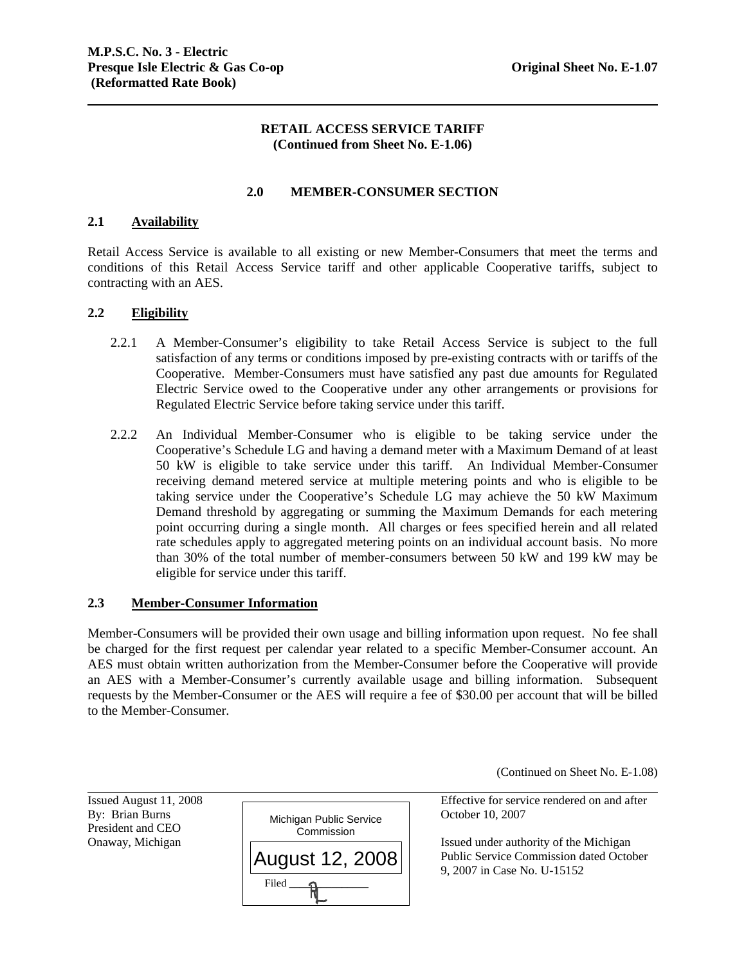### **RETAIL ACCESS SERVICE TARIFF (Continued from Sheet No. E-1.06)**

### **2.0 MEMBER-CONSUMER SECTION**

### **2.1 Availability**

Retail Access Service is available to all existing or new Member-Consumers that meet the terms and conditions of this Retail Access Service tariff and other applicable Cooperative tariffs, subject to contracting with an AES.

### **2.2 Eligibility**

- 2.2.1 A Member-Consumer's eligibility to take Retail Access Service is subject to the full satisfaction of any terms or conditions imposed by pre-existing contracts with or tariffs of the Cooperative. Member-Consumers must have satisfied any past due amounts for Regulated Electric Service owed to the Cooperative under any other arrangements or provisions for Regulated Electric Service before taking service under this tariff.
- 2.2.2 An Individual Member-Consumer who is eligible to be taking service under the Cooperative's Schedule LG and having a demand meter with a Maximum Demand of at least 50 kW is eligible to take service under this tariff. An Individual Member-Consumer receiving demand metered service at multiple metering points and who is eligible to be taking service under the Cooperative's Schedule LG may achieve the 50 kW Maximum Demand threshold by aggregating or summing the Maximum Demands for each metering point occurring during a single month. All charges or fees specified herein and all related rate schedules apply to aggregated metering points on an individual account basis. No more than 30% of the total number of member-consumers between 50 kW and 199 kW may be eligible for service under this tariff.

### **2.3 Member-Consumer Information**

Member-Consumers will be provided their own usage and billing information upon request. No fee shall be charged for the first request per calendar year related to a specific Member-Consumer account. An AES must obtain written authorization from the Member-Consumer before the Cooperative will provide an AES with a Member-Consumer's currently available usage and billing information. Subsequent requests by the Member-Consumer or the AES will require a fee of \$30.00 per account that will be billed to the Member-Consumer.

(Continued on Sheet No. E-1.08)

Issued August 11, 2008 President and CEO

l



Effective for service rendered on and after

Onaway, Michigan  $\Box$ Public Service Commission dated October 9, 2007 in Case No. U-15152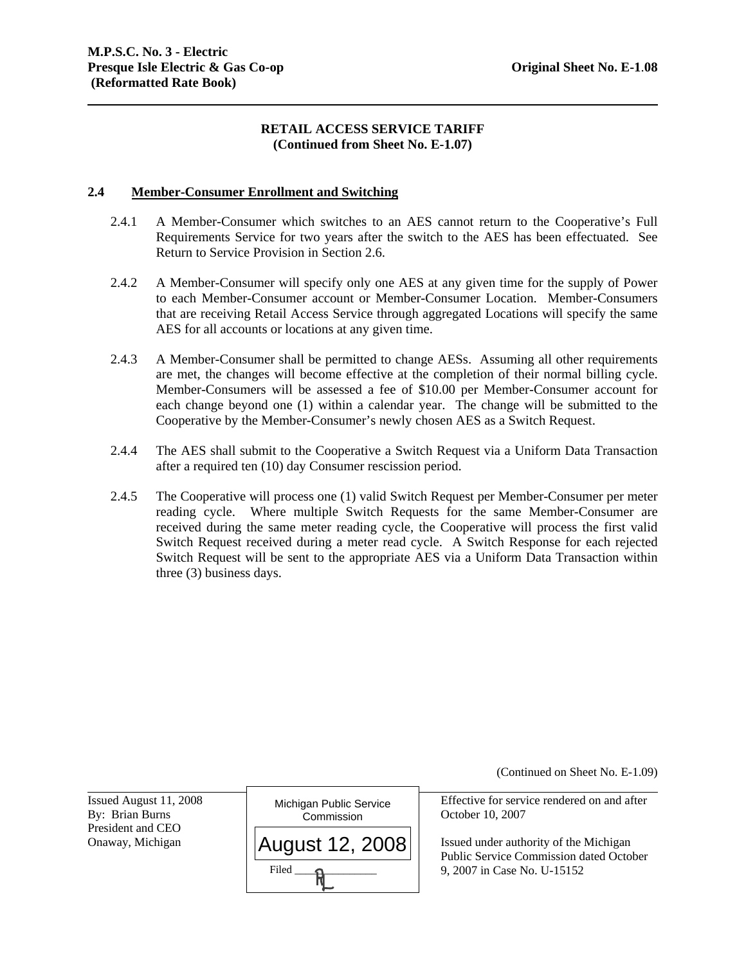### **RETAIL ACCESS SERVICE TARIFF (Continued from Sheet No. E-1.07)**

#### **2.4 Member-Consumer Enrollment and Switching**

- 2.4.1 A Member-Consumer which switches to an AES cannot return to the Cooperative's Full Requirements Service for two years after the switch to the AES has been effectuated. See Return to Service Provision in Section 2.6.
- 2.4.2 A Member-Consumer will specify only one AES at any given time for the supply of Power to each Member-Consumer account or Member-Consumer Location. Member-Consumers that are receiving Retail Access Service through aggregated Locations will specify the same AES for all accounts or locations at any given time.
- 2.4.3 A Member-Consumer shall be permitted to change AESs. Assuming all other requirements are met, the changes will become effective at the completion of their normal billing cycle. Member-Consumers will be assessed a fee of \$10.00 per Member-Consumer account for each change beyond one (1) within a calendar year. The change will be submitted to the Cooperative by the Member-Consumer's newly chosen AES as a Switch Request.
- 2.4.4 The AES shall submit to the Cooperative a Switch Request via a Uniform Data Transaction after a required ten (10) day Consumer rescission period.
- 2.4.5 The Cooperative will process one (1) valid Switch Request per Member-Consumer per meter reading cycle. Where multiple Switch Requests for the same Member-Consumer are received during the same meter reading cycle, the Cooperative will process the first valid Switch Request received during a meter read cycle. A Switch Response for each rejected Switch Request will be sent to the appropriate AES via a Uniform Data Transaction within three (3) business days.

(Continued on Sheet No. E-1.09) Effective for service rendered on and after

Onaway, Michigan  $\vert A \vert$   $\vert A \vert$   $\vert A \vert$   $\vert A \vert$  **Issued under authority of the Michigan** Public Service Commission dated October 9, 2007 in Case No. U-15152

Issued August 11, 2008 President and CEO

l

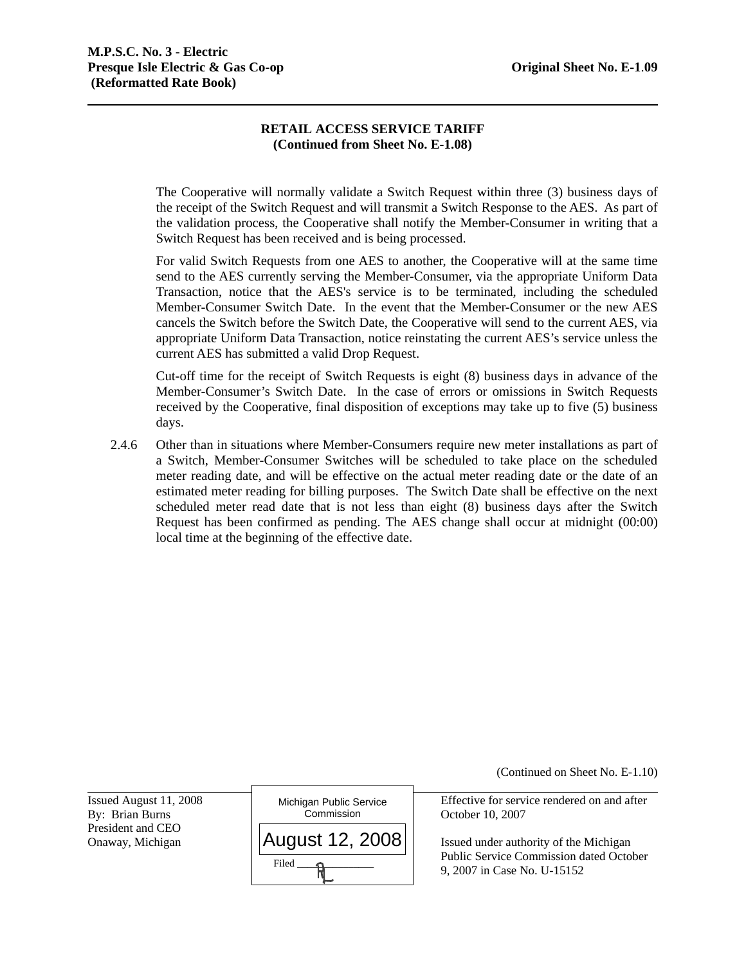# **RETAIL ACCESS SERVICE TARIFF (Continued from Sheet No. E-1.08)**

The Cooperative will normally validate a Switch Request within three (3) business days of the receipt of the Switch Request and will transmit a Switch Response to the AES. As part of the validation process, the Cooperative shall notify the Member-Consumer in writing that a Switch Request has been received and is being processed.

For valid Switch Requests from one AES to another, the Cooperative will at the same time send to the AES currently serving the Member-Consumer, via the appropriate Uniform Data Transaction, notice that the AES's service is to be terminated, including the scheduled Member-Consumer Switch Date. In the event that the Member-Consumer or the new AES cancels the Switch before the Switch Date, the Cooperative will send to the current AES, via appropriate Uniform Data Transaction, notice reinstating the current AES's service unless the current AES has submitted a valid Drop Request.

Cut-off time for the receipt of Switch Requests is eight (8) business days in advance of the Member-Consumer's Switch Date. In the case of errors or omissions in Switch Requests received by the Cooperative, final disposition of exceptions may take up to five (5) business days.

2.4.6 Other than in situations where Member-Consumers require new meter installations as part of a Switch, Member-Consumer Switches will be scheduled to take place on the scheduled meter reading date, and will be effective on the actual meter reading date or the date of an estimated meter reading for billing purposes. The Switch Date shall be effective on the next scheduled meter read date that is not less than eight (8) business days after the Switch Request has been confirmed as pending. The AES change shall occur at midnight (00:00) local time at the beginning of the effective date.

(Continued on Sheet No. E-1.10)

Issued August 11, 2008 President and CEO

l



Effective for service rendered on and after

Onaway, Michigan  $||AUGUST 12, 2008||$  Issued under authority of the Michigan Public Service Commission dated October 9, 2007 in Case No. U-15152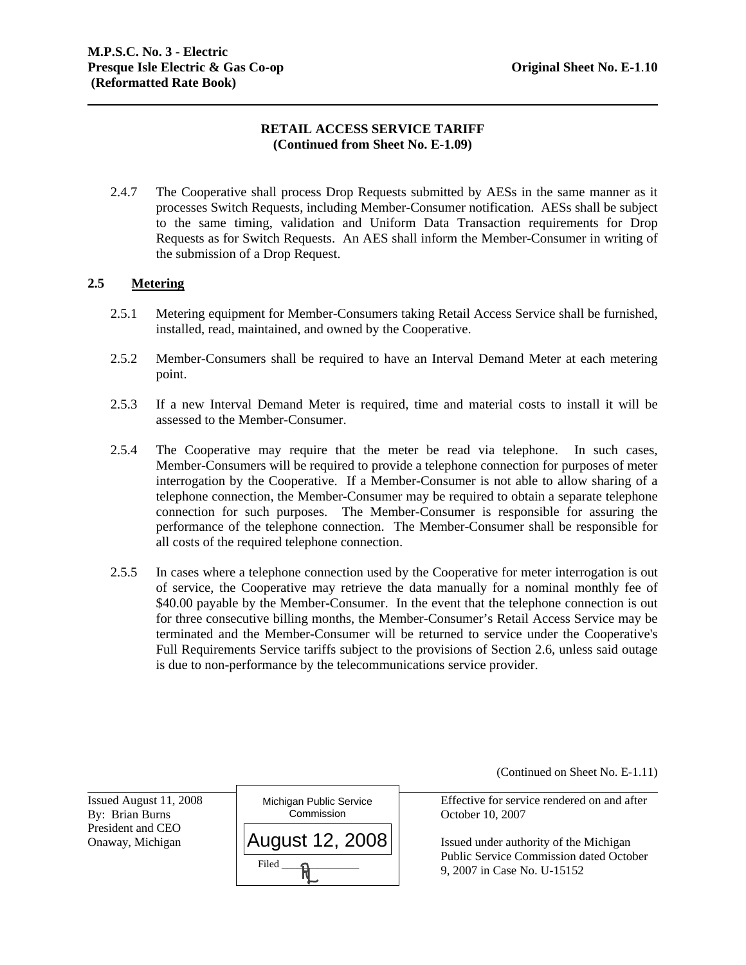# **RETAIL ACCESS SERVICE TARIFF (Continued from Sheet No. E-1.09)**

2.4.7 The Cooperative shall process Drop Requests submitted by AESs in the same manner as it processes Switch Requests, including Member-Consumer notification. AESs shall be subject to the same timing, validation and Uniform Data Transaction requirements for Drop Requests as for Switch Requests. An AES shall inform the Member-Consumer in writing of the submission of a Drop Request.

### **2.5 Metering**

- 2.5.1 Metering equipment for Member-Consumers taking Retail Access Service shall be furnished, installed, read, maintained, and owned by the Cooperative.
- 2.5.2 Member-Consumers shall be required to have an Interval Demand Meter at each metering point.
- 2.5.3 If a new Interval Demand Meter is required, time and material costs to install it will be assessed to the Member-Consumer.
- 2.5.4 The Cooperative may require that the meter be read via telephone. In such cases, Member-Consumers will be required to provide a telephone connection for purposes of meter interrogation by the Cooperative. If a Member-Consumer is not able to allow sharing of a telephone connection, the Member-Consumer may be required to obtain a separate telephone connection for such purposes. The Member-Consumer is responsible for assuring the performance of the telephone connection. The Member-Consumer shall be responsible for all costs of the required telephone connection.
- 2.5.5 In cases where a telephone connection used by the Cooperative for meter interrogation is out of service, the Cooperative may retrieve the data manually for a nominal monthly fee of \$40.00 payable by the Member-Consumer. In the event that the telephone connection is out for three consecutive billing months, the Member-Consumer's Retail Access Service may be terminated and the Member-Consumer will be returned to service under the Cooperative's Full Requirements Service tariffs subject to the provisions of Section 2.6, unless said outage is due to non-performance by the telecommunications service provider.

(Continued on Sheet No. E-1.11)

Issued August 11, 2008 President and CEO

l



Effective for service rendered on and after

Onaway, Michigan  $\vert$  **AUGUST 12, 2008**  $\vert$  Issued under authority of the Michigan Public Service Commission dated October 9, 2007 in Case No. U-15152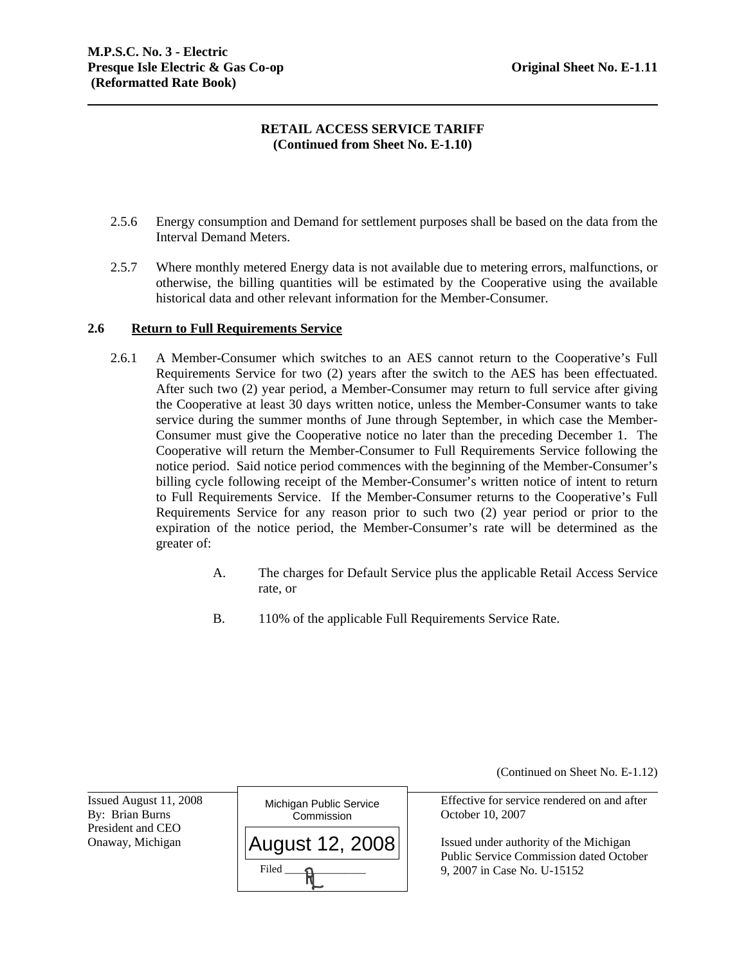## **RETAIL ACCESS SERVICE TARIFF (Continued from Sheet No. E-1.10)**

- 2.5.6 Energy consumption and Demand for settlement purposes shall be based on the data from the Interval Demand Meters.
- 2.5.7 Where monthly metered Energy data is not available due to metering errors, malfunctions, or otherwise, the billing quantities will be estimated by the Cooperative using the available historical data and other relevant information for the Member-Consumer.

### **2.6 Return to Full Requirements Service**

- Requirements Service for two (2) years after the switch to the AES has been effectuated. After such two (2) year period, a Member-Consumer may return to full service after giving 2.6.1 A Member-Consumer which switches to an AES cannot return to the Cooperative's Full the Cooperative at least 30 days written notice, unless the Member-Consumer wants to take service during the summer months of June through September, in which case the Member-Consumer must give the Cooperative notice no later than the preceding December 1. The Cooperative will return the Member-Consumer to Full Requirements Service following the notice period. Said notice period commences with the beginning of the Member-Consumer's billing cycle following receipt of the Member-Consumer's written notice of intent to return to Full Requirements Service. If the Member-Consumer returns to the Cooperative's Full Requirements Service for any reason prior to such two (2) year period or prior to the expiration of the notice period, the Member-Consumer's rate will be determined as the greater of:
	- A. The charges for Default Service plus the applicable Retail Access Service rate, or
	- B. 110% of the applicable Full Requirements Service Rate.

(Continued on Sheet No. E-1.12)

Issued August 11, 2008 President and CEO

l



Effective for service rendered on and after

Onaway, Michigan Issued under authority of the Michigan Public Service Commission dated October 9, 2007 in Case No. U-15152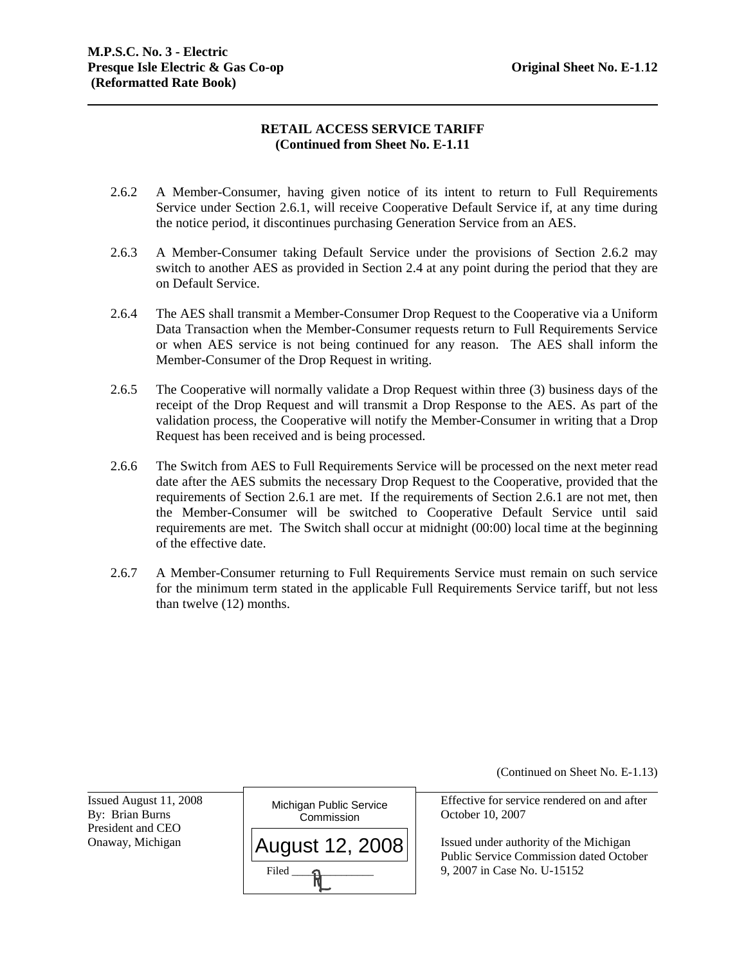# **RETAIL ACCESS SERVICE TARIFF (Continued from Sheet No. E-1.11**

- 2.6.2 A Member-Consumer, having given notice of its intent to return to Full Requirements Service under Section 2.6.1, will receive Cooperative Default Service if, at any time during the notice period, it discontinues purchasing Generation Service from an AES.
- 2.6.3 A Member-Consumer taking Default Service under the provisions of Section 2.6.2 may switch to another AES as provided in Section 2.4 at any point during the period that they are on Default Service.
- Member-Consumer of the Drop Request in writing. 2.6.4 The AES shall transmit a Member-Consumer Drop Request to the Cooperative via a Uniform Data Transaction when the Member-Consumer requests return to Full Requirements Service or when AES service is not being continued for any reason. The AES shall inform the
- 2.6.5 The Cooperative will normally validate a Drop Request within three (3) business days of the receipt of the Drop Request and will transmit a Drop Response to the AES. As part of the validation process, the Cooperative will notify the Member-Consumer in writing that a Drop Request has been received and is being processed.
- 2.6.6 The Switch from AES to Full Requirements Service will be processed on the next meter read date after the AES submits the necessary Drop Request to the Cooperative, provided that the requirements of Section 2.6.1 are met. If the requirements of Section 2.6.1 are not met, then the Member-Consumer will be switched to Cooperative Default Service until said requirements are met. The Switch shall occur at midnight (00:00) local time at the beginning of the effective date.
- 2.6.7 A Member-Consumer returning to Full Requirements Service must remain on such service for the minimum term stated in the applicable Full Requirements Service tariff, but not less than twelve (12) months.

(Continued on Sheet No. E-1.13)

Issued August 11, 2008 President and CEO

l



Effective for service rendered on and after

Onaway, Michigan  $\vert \Delta \vert$   $\vert$   $\Delta \vert$   $\vert$   $\alpha$   $\vert$   $\alpha$   $\vert$   $\alpha$   $\vert$   $\alpha$   $\vert$   $\alpha$   $\vert$   $\alpha$   $\vert$   $\alpha$   $\vert$   $\alpha$   $\vert$   $\alpha$   $\vert$   $\alpha$   $\vert$   $\alpha$   $\vert$   $\alpha$   $\vert$   $\alpha$   $\vert$   $\alpha$   $\vert$   $\alpha$   $\vert$   $\alpha$   $\vert$   $\alpha$   $\vert$   $\alpha$   $\vert$ Public Service Commission dated October 9, 2007 in Case No. U-15152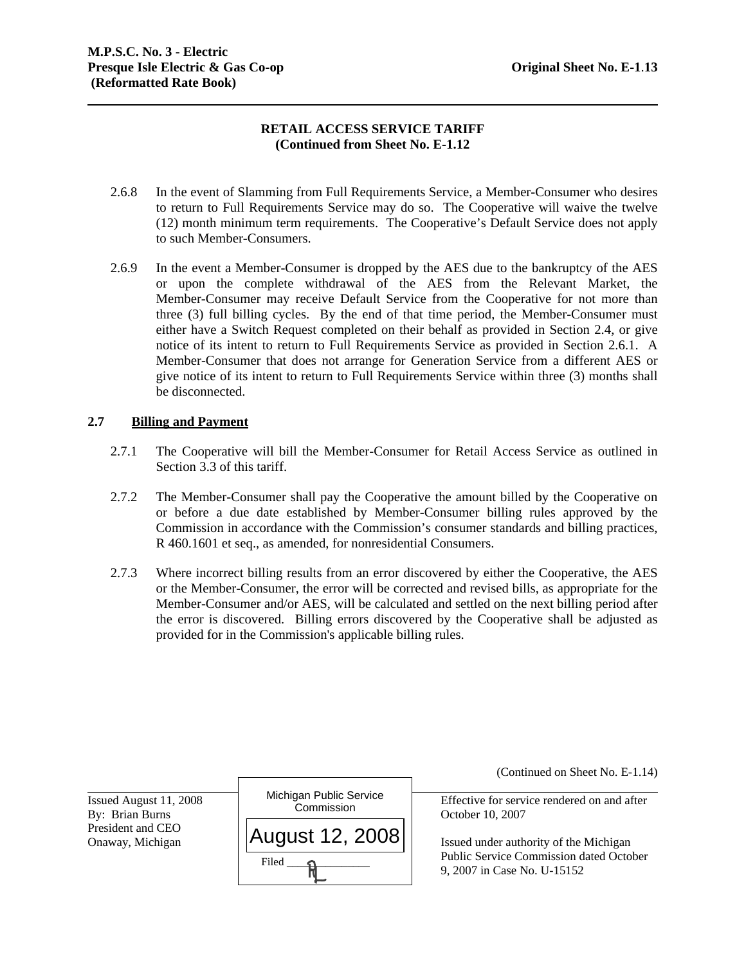# **RETAIL ACCESS SERVICE TARIFF (Continued from Sheet No. E-1.12**

- 2.6.8 In the event of Slamming from Full Requirements Service, a Member-Consumer who desires to return to Full Requirements Service may do so. The Cooperative will waive the twelve (12) month minimum term requirements. The Cooperative's Default Service does not apply to such Member-Consumers.
- 2.6.9 In the event a Member-Consumer is dropped by the AES due to the bankruptcy of the AES or upon the complete withdrawal of the AES from the Relevant Market, the Member-Consumer may receive Default Service from the Cooperative for not more than three (3) full billing cycles. By the end of that time period, the Member-Consumer must either have a Switch Request completed on their behalf as provided in Section 2.4, or give notice of its intent to return to Full Requirements Service as provided in Section 2.6.1. A Member-Consumer that does not arrange for Generation Service from a different AES or give notice of its intent to return to Full Requirements Service within three (3) months shall be disconnected.

### **2.7 Billing and Payment**

- 2.7.1 The Cooperative will bill the Member-Consumer for Retail Access Service as outlined in Section 3.3 of this tariff.
- 2.7.2 The Member-Consumer shall pay the Cooperative the amount billed by the Cooperative on or before a due date established by Member-Consumer billing rules approved by the Commission in accordance with the Commission's consumer standards and billing practices, R 460.1601 et seq., as amended, for nonresidential Consumers.
- 2.7.3 Where incorrect billing results from an error discovered by either the Cooperative, the AES or the Member-Consumer, the error will be corrected and revised bills, as appropriate for the Member-Consumer and/or AES, will be calculated and settled on the next billing period after the error is discovered. Billing errors discovered by the Cooperative shall be adjusted as provided for in the Commission's applicable billing rules.

Issued August 11, 2008 President and CEO

l



(Continued on Sheet No. E-1.14)

Effective for service rendered on and after

Onaway, Michigan Issued under authority of the Michigan Public Service Commission dated October 9, 2007 in Case No. U-15152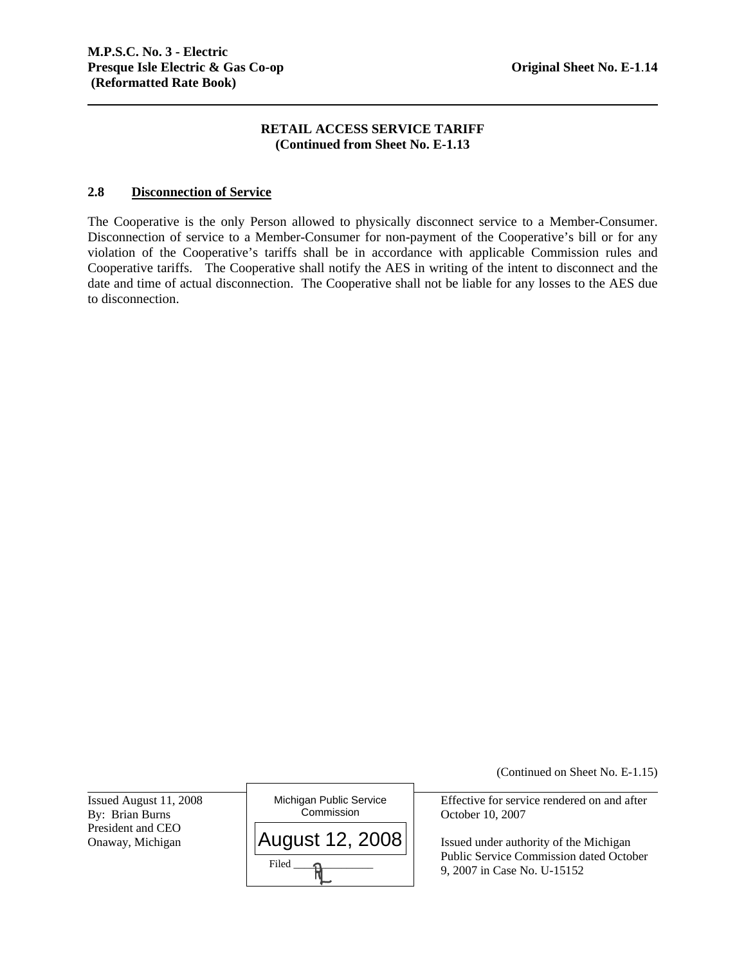### **RETAIL ACCESS SERVICE TARIFF (Continued from Sheet No. E-1.13**

### **2.8 Disconnection of Service**

The Cooperative is the only Person allowed to physically disconnect service to a Member-Consumer. Disconnection of service to a Member-Consumer for non-payment of the Cooperative's bill or for any violation of the Cooperative's tariffs shall be in accordance with applicable Commission rules and Cooperative tariffs. The Cooperative shall notify the AES in writing of the intent to disconnect and the date and time of actual disconnection. The Cooperative shall not be liable for any losses to the AES due to disconnection.

Issued August 11, 2008 President and CEO<br>Onaway, Michigan

l



(Continued on Sheet No. E-1.15)

Effective for service rendered on and after

Issued under authority of the Michigan Public Service Commission dated October 9, 2007 in Case No. U-15152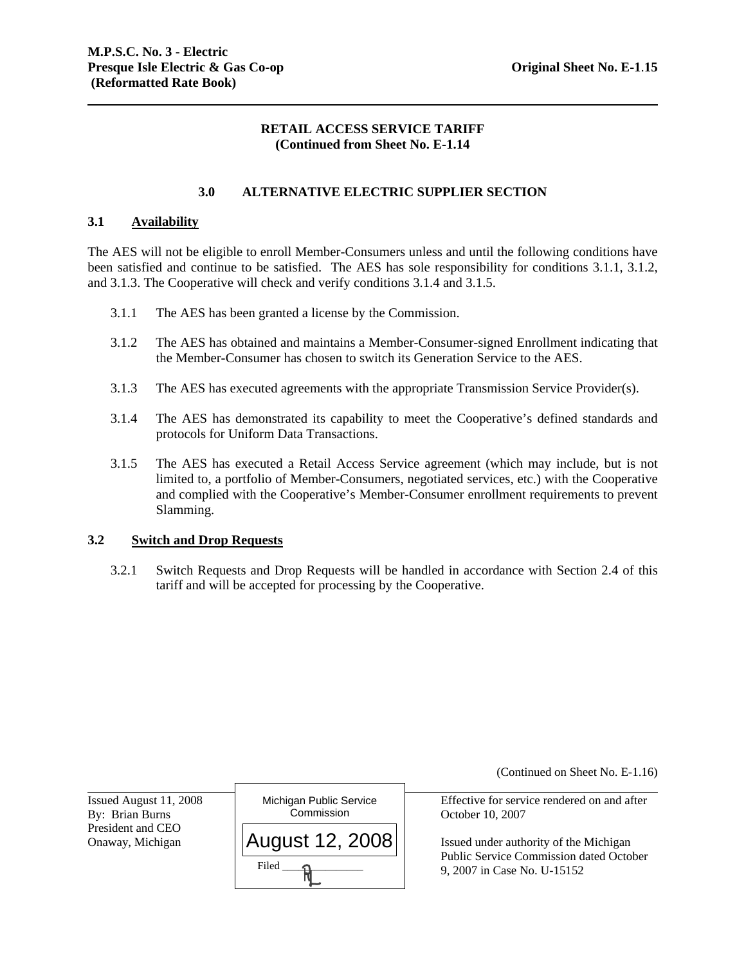### **RETAIL ACCESS SERVICE TARIFF (Continued from Sheet No. E-1.14**

### **3.0 ALTERNATIVE ELECTRIC SUPPLIER SECTION**

### **3.1 Availability**

 and 3.1.3. The Cooperative will check and verify conditions 3.1.4 and 3.1.5. 3.1.1 The AES has been granted a license by the Commission. The AES will not be eligible to enroll Member-Consumers unless and until the following conditions have been satisfied and continue to be satisfied. The AES has sole responsibility for conditions 3.1.1, 3.1.2,

- 
- 3.1.2 The AES has obtained and maintains a Member-Consumer-signed Enrollment indicating that the Member-Consumer has chosen to switch its Generation Service to the AES.
- 3.1.3 The AES has executed agreements with the appropriate Transmission Service Provider(s).
- 3.1.4 The AES has demonstrated its capability to meet the Cooperative's defined standards and protocols for Uniform Data Transactions.
- 3.1.5 The AES has executed a Retail Access Service agreement (which may include, but is not limited to, a portfolio of Member-Consumers, negotiated services, etc.) with the Cooperative and complied with the Cooperative's Member-Consumer enrollment requirements to prevent Slamming.

#### **3.2 Switch and Drop Requests**

3.2.1 Switch Requests and Drop Requests will be handled in accordance with Section 2.4 of this tariff and will be accepted for processing by the Cooperative.

(Continued on Sheet No. E-1.16)

Effective for service rendered on and after

Public Service Commission dated October 9, 2007 in Case No. U-15152

Issued August 11, 2008 President and CEO

l

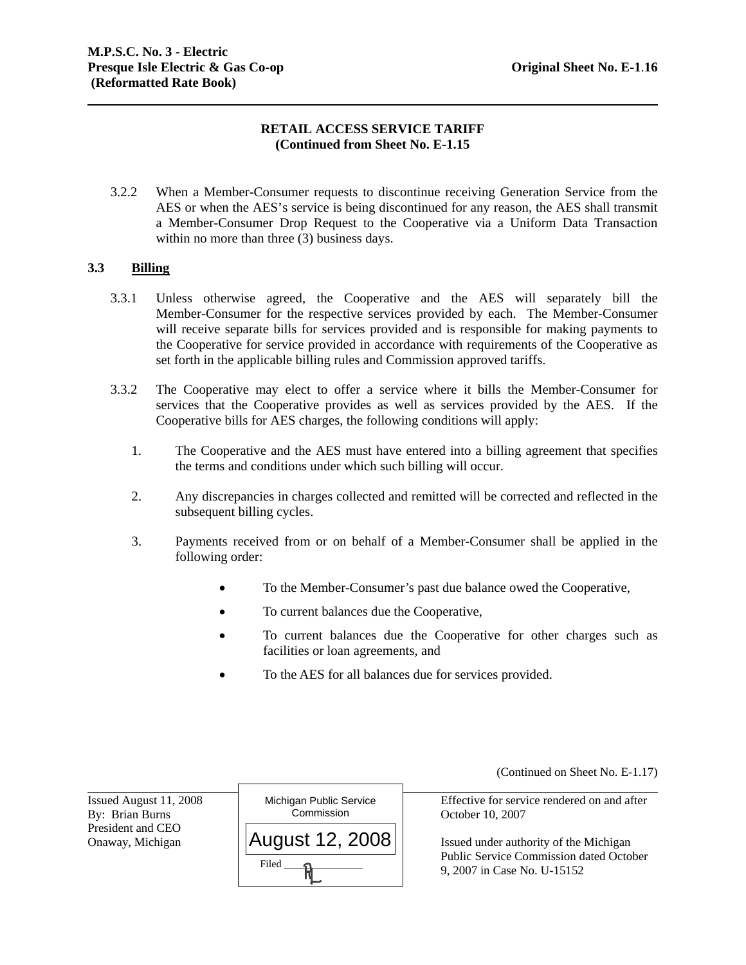## **RETAIL ACCESS SERVICE TARIFF (Continued from Sheet No. E-1.15**

3.2.2 When a Member-Consumer requests to discontinue receiving Generation Service from the AES or when the AES's service is being discontinued for any reason, the AES shall transmit a Member-Consumer Drop Request to the Cooperative via a Uniform Data Transaction within no more than three (3) business days.

### **3.3 Billing**

- 3.3.1 Unless otherwise agreed, the Cooperative and the AES will separately bill the Member-Consumer for the respective services provided by each. The Member-Consumer will receive separate bills for services provided and is responsible for making payments to the Cooperative for service provided in accordance with requirements of the Cooperative as set forth in the applicable billing rules and Commission approved tariffs.
- 3.3.2 The Cooperative may elect to offer a service where it bills the Member-Consumer for services that the Cooperative provides as well as services provided by the AES. If the Cooperative bills for AES charges, the following conditions will apply:
	- 1. The Cooperative and the AES must have entered into a billing agreement that specifies the terms and conditions under which such billing will occur.
	- 2. Any discrepancies in charges collected and remitted will be corrected and reflected in the subsequent billing cycles.
	- 3. Payments received from or on behalf of a Member-Consumer shall be applied in the following order:
		- To the Member-Consumer's past due balance owed the Cooperative,
		- To current balances due the Cooperative,
		- To current balances due the Cooperative for other charges such as facilities or loan agreements, and
		- To the AES for all balances due for services provided.

Issued August 11, 2008 President and CEO

l



(Continued on Sheet No. E-1.17)

Effective for service rendered on and after

Onaway, Michigan  $||AuQUSt 12, 2008||$  Issued under authority of the Michigan Public Service Commission dated October 9, 2007 in Case No. U-15152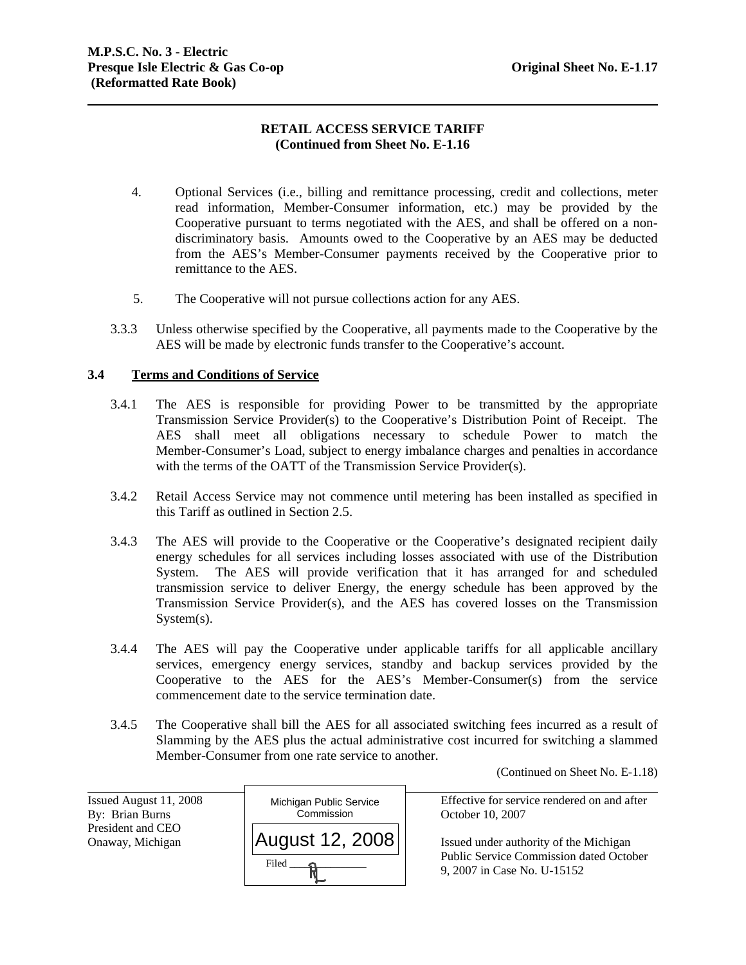# **RETAIL ACCESS SERVICE TARIFF (Continued from Sheet No. E-1.16**

- 4. Optional Services (i.e., billing and remittance processing, credit and collections, meter read information, Member-Consumer information, etc.) may be provided by the Cooperative pursuant to terms negotiated with the AES, and shall be offered on a nondiscriminatory basis. Amounts owed to the Cooperative by an AES may be deducted from the AES's Member-Consumer payments received by the Cooperative prior to remittance to the AES.
- 5. The Cooperative will not pursue collections action for any AES.
- 3.3.3 Unless otherwise specified by the Cooperative, all payments made to the Cooperative by the AES will be made by electronic funds transfer to the Cooperative's account.

### **3.4 Terms and Conditions of Service**

- AES shall meet all obligations necessary to schedule Power to match the 3.4.1 The AES is responsible for providing Power to be transmitted by the appropriate Transmission Service Provider(s) to the Cooperative's Distribution Point of Receipt. The Member-Consumer's Load, subject to energy imbalance charges and penalties in accordance with the terms of the OATT of the Transmission Service Provider(s).
- 3.4.2 Retail Access Service may not commence until metering has been installed as specified in this Tariff as outlined in Section 2.5.
- 3.4.3 The AES will provide to the Cooperative or the Cooperative's designated recipient daily energy schedules for all services including losses associated with use of the Distribution System. The AES will provide verification that it has arranged for and scheduled transmission service to deliver Energy, the energy schedule has been approved by the Transmission Service Provider(s), and the AES has covered losses on the Transmission System(s).
- 3.4.4 The AES will pay the Cooperative under applicable tariffs for all applicable ancillary services, emergency energy services, standby and backup services provided by the Cooperative to the AES for the AES's Member-Consumer(s) from the service commencement date to the service termination date.
- 3.4.5 The Cooperative shall bill the AES for all associated switching fees incurred as a result of Slamming by the AES plus the actual administrative cost incurred for switching a slammed Member-Consumer from one rate service to another.

(Continued on Sheet No. E-1.18)

| Issued August 11, 2008 | Michigan Public Service | Effective for service rendered on and after    |
|------------------------|-------------------------|------------------------------------------------|
| By: Brian Burns        | Commission              | October 10, 2007                               |
| President and CEO      |                         |                                                |
| Onaway, Michigan       | August 12, 2008         | Issued under authority of the Michigan         |
|                        | Filed                   | <b>Public Service Commission dated October</b> |
|                        |                         | 9, 2007 in Case No. U-15152                    |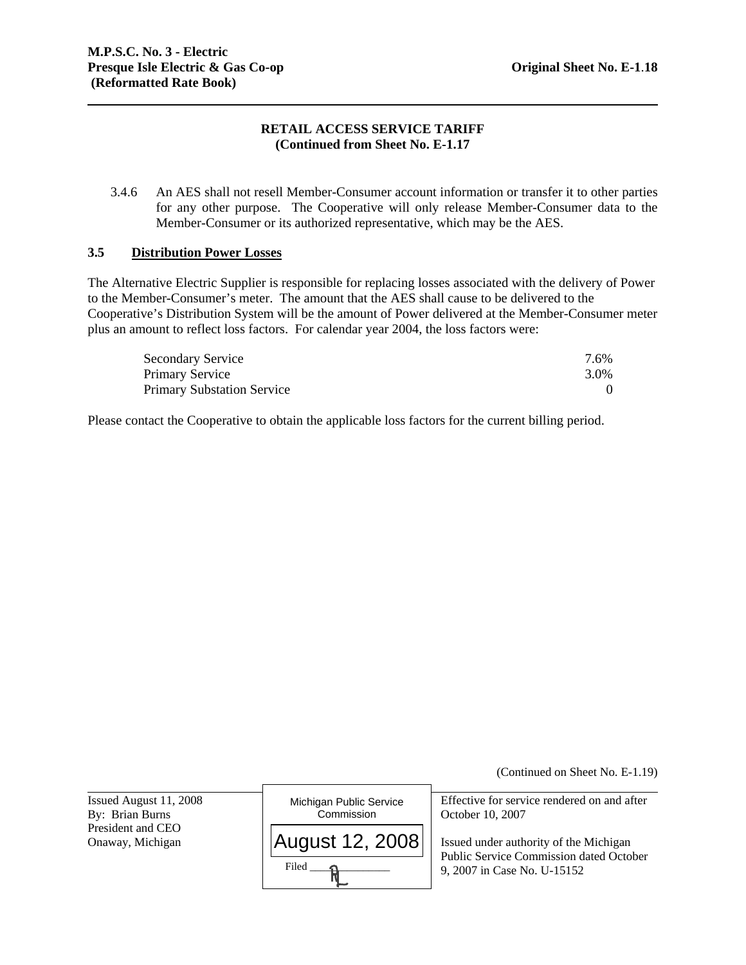## **RETAIL ACCESS SERVICE TARIFF (Continued from Sheet No. E-1.17**

3.4.6 An AES shall not resell Member-Consumer account information or transfer it to other parties for any other purpose. The Cooperative will only release Member-Consumer data to the Member-Consumer or its authorized representative, which may be the AES.

### **3.5 Distribution Power Losses**

The Alternative Electric Supplier is responsible for replacing losses associated with the delivery of Power to the Member-Consumer's meter. The amount that the AES shall cause to be delivered to the Cooperative's Distribution System will be the amount of Power delivered at the Member-Consumer meter plus an amount to reflect loss factors. For calendar year 2004, the loss factors were:

| <b>Secondary Service</b>          | 7.6% |
|-----------------------------------|------|
| Primary Service                   | 3.0% |
| <b>Primary Substation Service</b> |      |

Please contact the Cooperative to obtain the applicable loss factors for the current billing period.

(Continued on Sheet No. E-1.19)

Issued August 11, 2008 President and CEO

l



Effective for service rendered on and after

Onaway, Michigan  $\vert$  **AUGUST 12. 2008**  $\vert$  Issued under authority of the Michigan Public Service Commission dated October 9, 2007 in Case No. U-15152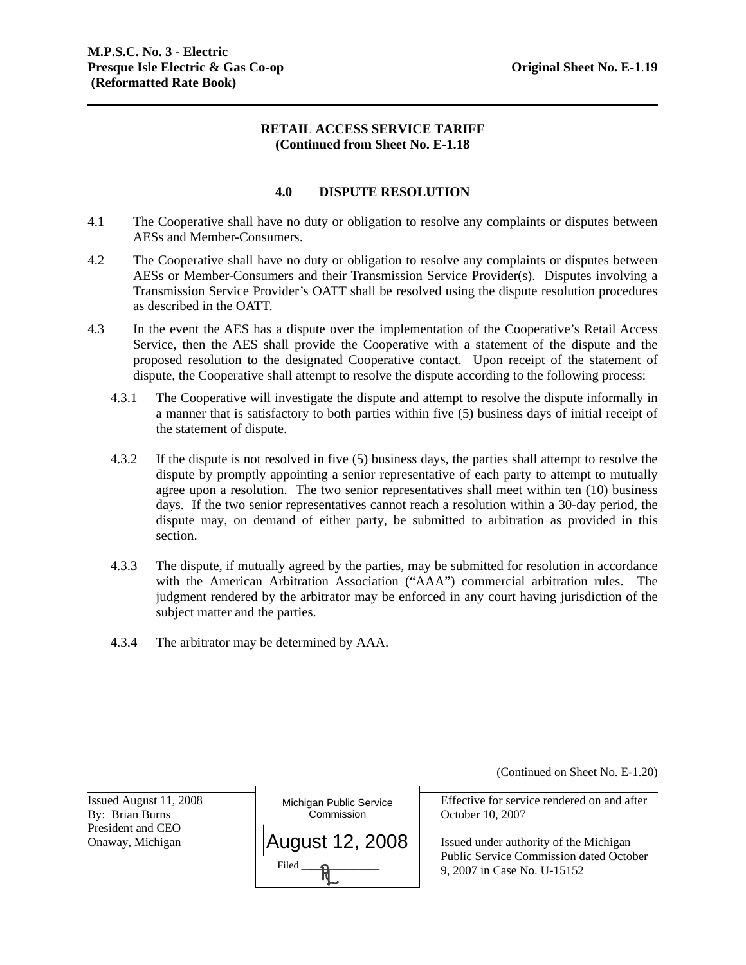### **RETAIL ACCESS SERVICE TARIFF (Continued from Sheet No. E-1.18**

### **4.0 DISPUTE RESOLUTION**

- 4.1 The Cooperative shall have no duty or obligation to resolve any complaints or disputes between AESs and Member-Consumers.
- 4.2 The Cooperative shall have no duty or obligation to resolve any complaints or disputes between AESs or Member-Consumers and their Transmission Service Provider(s). Disputes involving a Transmission Service Provider's OATT shall be resolved using the dispute resolution procedures as described in the OATT.
- 4.3 In the event the AES has a dispute over the implementation of the Cooperative's Retail Access Service, then the AES shall provide the Cooperative with a statement of the dispute and the proposed resolution to the designated Cooperative contact. Upon receipt of the statement of dispute, the Cooperative shall attempt to resolve the dispute according to the following process:
	- 4.3.1 The Cooperative will investigate the dispute and attempt to resolve the dispute informally in a manner that is satisfactory to both parties within five (5) business days of initial receipt of the statement of dispute.
	- 4.3.2 If the dispute is not resolved in five (5) business days, the parties shall attempt to resolve the dispute by promptly appointing a senior representative of each party to attempt to mutually agree upon a resolution. The two senior representatives shall meet within ten (10) business days. If the two senior representatives cannot reach a resolution within a 30-day period, the dispute may, on demand of either party, be submitted to arbitration as provided in this section.
	- 4.3.3 The dispute, if mutually agreed by the parties, may be submitted for resolution in accordance with the American Arbitration Association ("AAA") commercial arbitration rules. The judgment rendered by the arbitrator may be enforced in any court having jurisdiction of the subject matter and the parties.
	- 4.3.4 The arbitrator may be determined by AAA.

(Continued on Sheet No. E-1.20)

Issued August 11, 2008 President and CEO

l



Effective for service rendered on and after

Onaway, Michigan  $||$  **August 12. 2008**  $||$  Issued under authority of the Michigan Public Service Commission dated October 9, 2007 in Case No. U-15152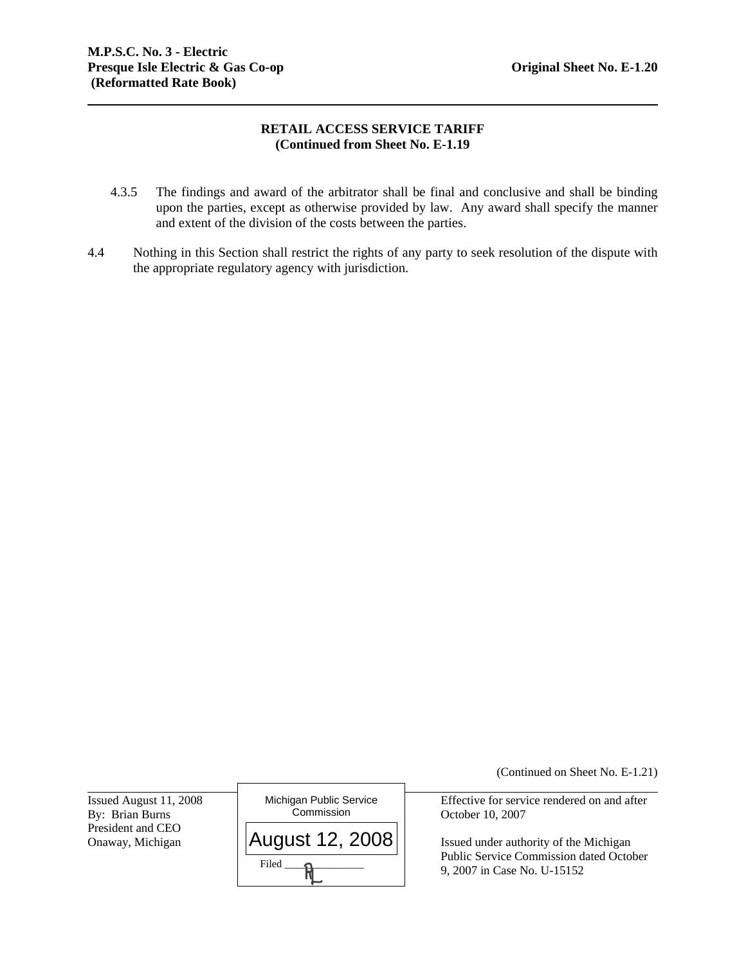## **RETAIL ACCESS SERVICE TARIFF (Continued from Sheet No. E-1.19**

- 4.3.5 The findings and award of the arbitrator shall be final and conclusive and shall be binding upon the parties, except as otherwise provided by law. Any award shall specify the manner and extent of the division of the costs between the parties.
- 4.4 Nothing in this Section shall restrict the rights of any party to seek resolution of the dispute with the appropriate regulatory agency with jurisdiction.

Issued August 11, 2008 President and CEO

l



(Continued on Sheet No. E-1.21)

Effective for service rendered on and after

Onaway, Michigan  $\vert$  **AUGUST 12, 2008**  $\vert$  Issued under authority of the Michigan Public Service Commission dated October 9, 2007 in Case No. U-15152